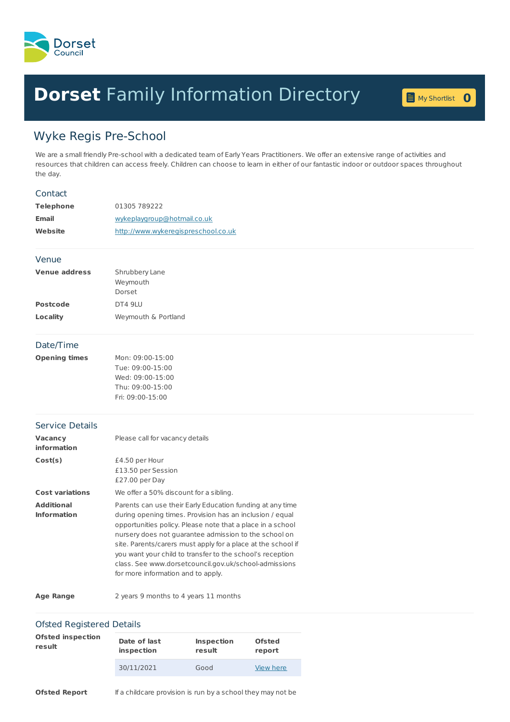

## **Dorset** Family [Information](home.page) Directory **<sup>0</sup>**

My [Shortlist](shortlist.page) 0

## Wyke Regis Pre-School

We are a small friendly Pre-school with a dedicated team of Early Years Practitioners. We offer an extensive range of activities and resources that children can access freely. Children can choose to learn in either of our fantastic indoor or outdoor spaces throughout the day.

| Contact                                 |                                                                                                                                                                                                                                                                                                                                                                                                                                                                          |
|-----------------------------------------|--------------------------------------------------------------------------------------------------------------------------------------------------------------------------------------------------------------------------------------------------------------------------------------------------------------------------------------------------------------------------------------------------------------------------------------------------------------------------|
| <b>Telephone</b>                        | 01305 789222                                                                                                                                                                                                                                                                                                                                                                                                                                                             |
| <b>Email</b>                            | wykeplaygroup@hotmail.co.uk                                                                                                                                                                                                                                                                                                                                                                                                                                              |
| Website                                 | http://www.wykeregispreschool.co.uk                                                                                                                                                                                                                                                                                                                                                                                                                                      |
| Venue                                   |                                                                                                                                                                                                                                                                                                                                                                                                                                                                          |
| <b>Venue address</b>                    | Shrubbery Lane<br>Weymouth<br>Dorset                                                                                                                                                                                                                                                                                                                                                                                                                                     |
| <b>Postcode</b>                         | DT4 9LU                                                                                                                                                                                                                                                                                                                                                                                                                                                                  |
| <b>Locality</b>                         | Weymouth & Portland                                                                                                                                                                                                                                                                                                                                                                                                                                                      |
| Date/Time                               |                                                                                                                                                                                                                                                                                                                                                                                                                                                                          |
| <b>Opening times</b>                    | Mon: 09:00-15:00<br>Tue: 09:00-15:00<br>Wed: 09:00-15:00<br>Thu: 09:00-15:00<br>Fri: 09:00-15:00                                                                                                                                                                                                                                                                                                                                                                         |
| <b>Service Details</b>                  |                                                                                                                                                                                                                                                                                                                                                                                                                                                                          |
| Vacancy<br><b>information</b>           | Please call for vacancy details                                                                                                                                                                                                                                                                                                                                                                                                                                          |
| Cost(s)                                 | £4.50 per Hour<br>£13.50 per Session<br>£27.00 per Day                                                                                                                                                                                                                                                                                                                                                                                                                   |
| <b>Cost variations</b>                  | We offer a 50% discount for a sibling.                                                                                                                                                                                                                                                                                                                                                                                                                                   |
| <b>Additional</b><br><b>Information</b> | Parents can use their Early Education funding at any time<br>during opening times. Provision has an inclusion / equal<br>opportunities policy. Please note that a place in a school<br>nursery does not guarantee admission to the school on<br>site. Parents/carers must apply for a place at the school if<br>you want your child to transfer to the school's reception<br>class. See www.dorsetcouncil.gov.uk/school-admissions<br>for more information and to apply. |
| <b>Age Range</b>                        | 2 years 9 months to 4 years 11 months                                                                                                                                                                                                                                                                                                                                                                                                                                    |
| <b>Ofsted Registered Details</b>        |                                                                                                                                                                                                                                                                                                                                                                                                                                                                          |
| <b>Ofsted inspection</b>                | Date of last<br>Ofctod<br>Inchoction                                                                                                                                                                                                                                                                                                                                                                                                                                     |

| <b>Ofsted inspection</b> | Date of last | <b>Inspection</b> | <b>Ofsted</b> |
|--------------------------|--------------|-------------------|---------------|
| result                   | inspection   | result            | report        |
|                          | 30/11/2021   | Good              | View here     |